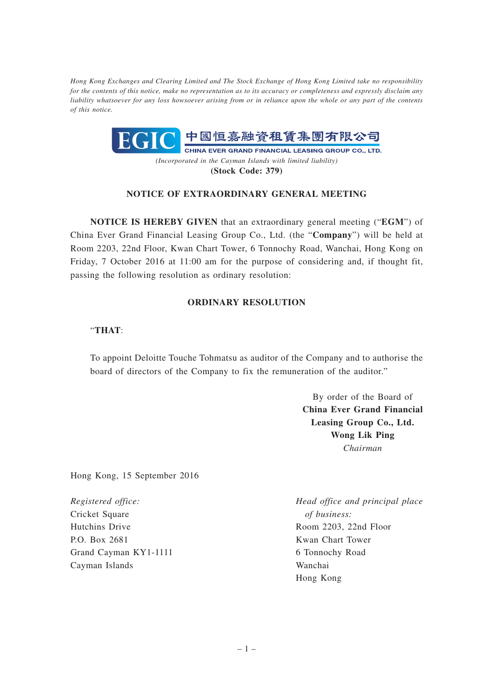*Hong Kong Exchanges and Clearing Limited and The Stock Exchange of Hong Kong Limited take no responsibility for the contents of this notice, make no representation as to its accuracy or completeness and expressly disclaim any liability whatsoever for any loss howsoever arising from or in reliance upon the whole or any part of the contents of this notice.*



**(Stock Code: 379)**

## **NOTICE OF EXTRAORDINARY GENERAL MEETING**

**NOTICE IS HEREBY GIVEN** that an extraordinary general meeting ("**EGM**") of China Ever Grand Financial Leasing Group Co., Ltd. (the "**Company**") will be held at Room 2203, 22nd Floor, Kwan Chart Tower, 6 Tonnochy Road, Wanchai, Hong Kong on Friday, 7 October 2016 at 11:00 am for the purpose of considering and, if thought fit, passing the following resolution as ordinary resolution:

## **ORDINARY RESOLUTION**

## "**THAT**:

To appoint Deloitte Touche Tohmatsu as auditor of the Company and to authorise the board of directors of the Company to fix the remuneration of the auditor."

> By order of the Board of **China Ever Grand Financial Leasing Group Co., Ltd. Wong Lik Ping** *Chairman*

Hong Kong, 15 September 2016

*Registered office:* Cricket Square Hutchins Drive P.O. Box 2681 Grand Cayman KY1-1111 Cayman Islands

*Head office and principal place of business:* Room 2203, 22nd Floor Kwan Chart Tower 6 Tonnochy Road Wanchai Hong Kong